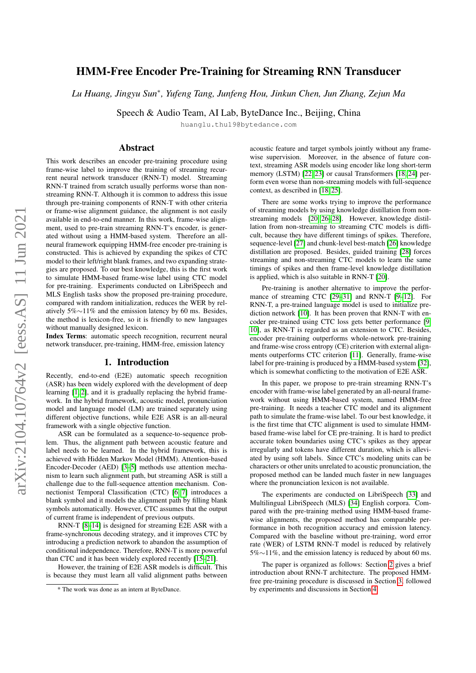# arXiv:2104.10764v2 [eess.AS] 11 Jun 2021 arXiv:2104.10764v2 [eess.AS] 11 Jun 2021

# HMM-Free Encoder Pre-Training for Streaming RNN Transducer

*Lu Huang, Jingyu Sun*<sup>∗</sup> *, Yufeng Tang, Junfeng Hou, Jinkun Chen, Jun Zhang, Zejun Ma*

Speech & Audio Team, AI Lab, ByteDance Inc., Beijing, China

huanglu.thu19@bytedance.com

# Abstract

This work describes an encoder pre-training procedure using frame-wise label to improve the training of streaming recurrent neural network transducer (RNN-T) model. Streaming RNN-T trained from scratch usually performs worse than nonstreaming RNN-T. Although it is common to address this issue through pre-training components of RNN-T with other criteria or frame-wise alignment guidance, the alignment is not easily available in end-to-end manner. In this work, frame-wise alignment, used to pre-train streaming RNN-T's encoder, is generated without using a HMM-based system. Therefore an allneural framework equipping HMM-free encoder pre-training is constructed. This is achieved by expanding the spikes of CTC model to their left/right blank frames, and two expanding strategies are proposed. To our best knowledge, this is the first work to simulate HMM-based frame-wise label using CTC model for pre-training. Experiments conducted on LibriSpeech and MLS English tasks show the proposed pre-training procedure, compared with random initialization, reduces the WER by relatively 5%∼11% and the emission latency by 60 ms. Besides, the method is lexicon-free, so it is friendly to new languages without manually designed lexicon.

Index Terms: automatic speech recognition, recurrent neural network transducer, pre-training, HMM-free, emission latency

# 1. Introduction

Recently, end-to-end (E2E) automatic speech recognition (ASR) has been widely explored with the development of deep learning [\[1,](#page-4-0) [2\]](#page-4-1), and it is gradually replacing the hybrid framework. In the hybrid framework, acoustic model, pronunciation model and language model (LM) are trained separately using different objective functions, while E2E ASR is an all-neural framework with a single objective function.

ASR can be formulated as a sequence-to-sequence problem. Thus, the alignment path between acoustic feature and label needs to be learned. In the hybrid framework, this is achieved with Hidden Markov Model (HMM). Attention-based Encoder-Decoder (AED) [\[3–](#page-4-2)[5\]](#page-4-3) methods use attention mechanism to learn such alignment path, but streaming ASR is still a challenge due to the full-sequence attention mechanism. Connectionist Temporal Classification (CTC) [\[6,](#page-4-4) [7\]](#page-4-5) introduces a blank symbol and it models the alignment path by filling blank symbols automatically. However, CTC assumes that the output of current frame is independent of previous outputs.

RNN-T [\[8–](#page-4-6)[14\]](#page-4-7) is designed for streaming E2E ASR with a frame-synchronous decoding strategy, and it improves CTC by introducing a prediction network to abandon the assumption of conditional independence. Therefore, RNN-T is more powerful than CTC and it has been widely explored recently [\[15](#page-4-8)[–21\]](#page-4-9).

However, the training of E2E ASR models is difficult. This is because they must learn all valid alignment paths between

acoustic feature and target symbols jointly without any framewise supervision. Moreover, in the absence of future context, streaming ASR models using encoder like long short-term memory (LSTM) [\[22,](#page-4-10) [23\]](#page-4-11) or causal Transformers [\[18,](#page-4-12) [24\]](#page-4-13) perform even worse than non-streaming models with full-sequence context, as described in [\[18,](#page-4-12) [25\]](#page-4-14).

There are some works trying to improve the performance of streaming models by using knowledge distillation from nonstreaming models [\[20,](#page-4-15) [26](#page-4-16)[–28\]](#page-4-17). However, knowledge distillation from non-streaming to streaming CTC models is difficult, because they have different timings of spikes. Therefore, sequence-level [\[27\]](#page-4-18) and chunk-level best-match [\[26\]](#page-4-16) knowledge distillation are proposed. Besides, guided training [\[28\]](#page-4-17) forces streaming and non-streaming CTC models to learn the same timings of spikes and then frame-level knowledge distillation is applied, which is also suitable in RNN-T [\[20\]](#page-4-15).

Pre-training is another alternative to improve the performance of streaming CTC [\[29](#page-4-19)[–31\]](#page-4-20) and RNN-T [\[9](#page-4-21)[–12\]](#page-4-22). For RNN-T, a pre-trained language model is used to initialize prediction network [\[10\]](#page-4-23). It has been proven that RNN-T with encoder pre-trained using CTC loss gets better performance [\[9,](#page-4-21) [10\]](#page-4-23), as RNN-T is regarded as an extension to CTC. Besides, encoder pre-training outperforms whole-network pre-training and frame-wise cross entropy (CE) criterion with external alignments outperforms CTC criterion [\[11\]](#page-4-24). Generally, frame-wise label for pre-training is produced by a HMM-based system [\[32\]](#page-4-25), which is somewhat conflicting to the motivation of E2E ASR.

In this paper, we propose to pre-train streaming RNN-T's encoder with frame-wise label generated by an all-neural framework without using HMM-based system, named HMM-free pre-training. It needs a teacher CTC model and its alignment path to simulate the frame-wise label. To our best knowledge, it is the first time that CTC alignment is used to simulate HMMbased frame-wise label for CE pre-training. It is hard to predict accurate token boundaries using CTC's spikes as they appear irregularly and tokens have different duration, which is alleviated by using soft labels. Since CTC's modeling units can be characters or other units unrelated to acoustic pronunciation, the proposed method can be landed much faster in new languages where the pronunciation lexicon is not available.

The experiments are conducted on LibriSpeech [\[33\]](#page-4-26) and Multilingual LibriSpeech (MLS) [\[34\]](#page-4-27) English corpora. Compared with the pre-training method using HMM-based framewise alignments, the proposed method has comparable performance in both recognition accuracy and emission latency. Compared with the baseline without pre-training, word error rate (WER) of LSTM RNN-T model is reduced by relatively 5%∼11%, and the emission latency is reduced by about 60 ms.

The paper is organized as follows: Section [2](#page-1-0) gives a brief introduction about RNN-T architecture. The proposed HMMfree pre-training procedure is discussed in Section [3,](#page-1-1) followed by experiments and discussions in Section [4.](#page-2-0)

<sup>\*</sup> The work was done as an intern at ByteDance.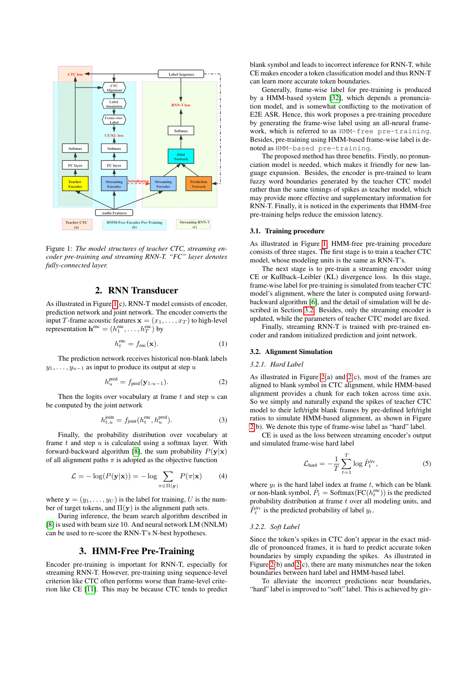<span id="page-1-2"></span>

Figure 1: *The model structures of teacher CTC, streaming encoder pre-training and streaming RNN-T. "FC" layer denotes fully-connected layer.*

# 2. RNN Transducer

<span id="page-1-0"></span>As illustrated in Figure [1\(](#page-1-2)c), RNN-T model consists of encoder, prediction network and joint network. The encoder converts the input T-frame acoustic features  $\mathbf{x} = (x_1, \dots, x_T)$  to high-level representation  $\mathbf{h}^{\text{enc}} = (h_1^{\text{enc}}, \dots, h_T^{\text{enc}})$  by

$$
h_t^{\text{enc}} = f_{\text{enc}}(\mathbf{x}).\tag{1}
$$

The prediction network receives historical non-blank labels  $y_1, \ldots, y_{u-1}$  as input to produce its output at step u

$$
h_u^{\text{pred}} = f_{\text{pred}}(\mathbf{y}_{1:u-1}).
$$
\n(2)

Then the logits over vocabulary at frame  $t$  and step  $u$  can be computed by the joint network

$$
h_{t,u}^{\text{joint}} = f_{\text{joint}}(h_t^{\text{enc}}, h_u^{\text{pred}}). \tag{3}
$$

Finally, the probability distribution over vocabulary at frame  $t$  and step  $u$  is calculated using a softmax layer. With forward-backward algorithm [\[8\]](#page-4-6), the sum probability  $P(\mathbf{y}|\mathbf{x})$ of all alignment paths  $\pi$  is adopted as the objective function

$$
\mathcal{L} = -\log(P(\mathbf{y}|\mathbf{x})) = -\log \sum_{\pi \in \Pi(\mathbf{y})} P(\pi|\mathbf{x}) \tag{4}
$$

where  $y = (y_1, \ldots, y_U)$  is the label for training, U is the number of target tokens, and  $\Pi(y)$  is the alignment path sets.

During inference, the beam search algorithm described in [\[8\]](#page-4-6) is used with beam size 10. And neural network LM (NNLM) can be used to re-score the RNN-T's N-best hypotheses.

# 3. HMM-Free Pre-Training

<span id="page-1-1"></span>Encoder pre-training is important for RNN-T, especially for streaming RNN-T. However, pre-training using sequence-level criterion like CTC often performs worse than frame-level criterion like CE [\[11\]](#page-4-24). This may be because CTC tends to predict blank symbol and leads to incorrect inference for RNN-T, while CE makes encoder a token classification model and thus RNN-T can learn more accurate token boundaries.

Generally, frame-wise label for pre-training is produced by a HMM-based system [\[32\]](#page-4-25), which depends a pronunciation model, and is somewhat conflicting to the motivation of E2E ASR. Hence, this work proposes a pre-training procedure by generating the frame-wise label using an all-neural framework, which is referred to as HMM-free pre-training. Besides, pre-training using HMM-based frame-wise label is denoted as HMM-based pre-training.

The proposed method has three benefits. Firstly, no pronunciation model is needed, which makes it friendly for new language expansion. Besides, the encoder is pre-trained to learn fuzzy word boundaries generated by the teacher CTC model rather than the same timings of spikes as teacher model, which may provide more effective and supplementary information for RNN-T. Finally, it is noticed in the experiments that HMM-free pre-training helps reduce the emission latency.

# 3.1. Training procedure

As illustrated in Figure [1,](#page-1-2) HMM-free pre-training procedure consists of three stages. The first stage is to train a teacher CTC model, whose modeling units is the same as RNN-T's.

The next stage is to pre-train a streaming encoder using CE or Kullback–Leibler (KL) divergence loss. In this stage, frame-wise label for pre-training is simulated from teacher CTC model's alignment, where the later is computed using forwardbackward algorithm [\[6\]](#page-4-4), and the detail of simulation will be described in Section [3.2.](#page-1-3) Besides, only the streaming encoder is updated, while the parameters of teacher CTC model are fixed.

Finally, streaming RNN-T is trained with pre-trained encoder and random initialized prediction and joint network.

### <span id="page-1-3"></span>3.2. Alignment Simulation

### *3.2.1. Hard Label*

As illustrated in Figure [2\(](#page-2-1)a) and [2\(](#page-2-1)c), most of the frames are aligned to blank symbol in CTC alignment, while HMM-based alignment provides a chunk for each token across time axis. So we simply and naturally expand the spikes of teacher CTC model to their left/right blank frames by pre-defined left/right ratios to simulate HMM-based alignment, as shown in Figure [2\(](#page-2-1)b). We denote this type of frame-wise label as "hard" label.

CE is used as the loss between streaming encoder's output and simulated frame-wise hard label

$$
\mathcal{L}_{\text{hard}} = -\frac{1}{T} \sum_{t=1}^{T} \log \hat{P}_t^{y_t},\tag{5}
$$

where  $y_t$  is the hard label index at frame t, which can be blank or non-blank symbol,  $\hat{P}_t = \text{Softmax}(\text{FC}(h_t^{\text{enc}}))$  is the predicted probability distribution at frame  $t$  over all modeling units, and  $\hat{P}^{y_t}_t$  is the predicted probability of label  $y_t$ .

### *3.2.2. Soft Label*

Since the token's spikes in CTC don't appear in the exact middle of pronounced frames, it is hard to predict accurate token boundaries by simply expanding the spikes. As illustrated in Figure [2\(](#page-2-1)b) and [2\(](#page-2-1)c), there are many mismatches near the token boundaries between hard label and HMM-based label.

To alleviate the incorrect predictions near boundaries, "hard" label is improved to "soft" label. This is achieved by giv-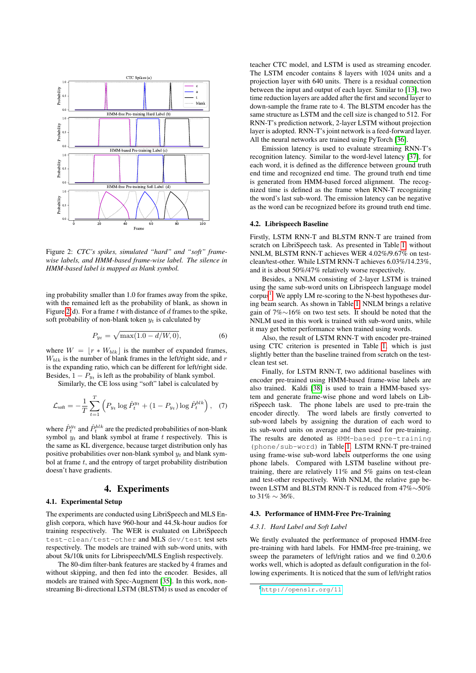<span id="page-2-1"></span>

Figure 2: *CTC's spikes, simulated "hard" and "soft" framewise labels, and HMM-based frame-wise label. The silence in HMM-based label is mapped as blank symbol.*

ing probability smaller than 1.0 for frames away from the spike, with the remained left as the probability of blank, as shown in Figure [2\(](#page-2-1)d). For a frame  $t$  with distance of  $d$  frames to the spike, soft probability of non-blank token  $y_t$  is calculated by

$$
P_{yt} = \sqrt{\max(1.0 - d/W, 0)},\tag{6}
$$

where  $W = \lfloor r * W_{blk} \rfloor$  is the number of expanded frames,  $W_{blk}$  is the number of blank frames in the left/right side, and r is the expanding ratio, which can be different for left/right side. Besides,  $1 - P_{y_t}$  is left as the probability of blank symbol.

Similarly, the CE loss using "soft" label is calculated by

$$
\mathcal{L}_{\text{soft}} = -\frac{1}{T} \sum_{t=1}^{T} \left( P_{y_t} \log \hat{P}_t^{y_t} + (1 - P_{y_t}) \log \hat{P}_t^{blk} \right), \quad (7)
$$

where  $\hat{P}^{y_t}_t$  and  $\hat{P}^{b l k}_t$  are the predicted probabilities of non-blank symbol  $y_t$  and blank symbol at frame t respectively. This is the same as KL divergence, because target distribution only has positive probabilities over non-blank symbol  $y_t$  and blank symbol at frame  $t$ , and the entropy of target probability distribution doesn't have gradients.

# 4. Experiments

### <span id="page-2-0"></span>4.1. Experimental Setup

The experiments are conducted using LibriSpeech and MLS English corpora, which have 960-hour and 44.5k-hour audios for training respectively. The WER is evaluated on LibriSpeech test-clean/test-other and MLS dev/test test sets respectively. The models are trained with sub-word units, with about 5k/10k units for Librispeech/MLS English respectively.

The 80-dim filter-bank features are stacked by 4 frames and without skipping, and then fed into the encoder. Besides, all models are trained with Spec-Augment [\[35\]](#page-4-28). In this work, nonstreaming Bi-directional LSTM (BLSTM) is used as encoder of teacher CTC model, and LSTM is used as streaming encoder. The LSTM encoder contains 8 layers with 1024 units and a projection layer with 640 units. There is a residual connection between the input and output of each layer. Similar to [\[13\]](#page-4-29), two time reduction layers are added after the first and second layer to down-sample the frame rate to 4. The BLSTM encoder has the same structure as LSTM and the cell size is changed to 512. For RNN-T's prediction network, 2-layer LSTM without projection layer is adopted. RNN-T's joint network is a feed-forward layer. All the neural networks are trained using PyTorch [\[36\]](#page-4-30).

Emission latency is used to evaluate streaming RNN-T's recognition latency. Similar to the word-level latency [\[37\]](#page-4-31), for each word, it is defined as the difference between ground truth end time and recognized end time. The ground truth end time is generated from HMM-based forced alignment. The recognized time is defined as the frame when RNN-T recognizing the word's last sub-word. The emission latency can be negative as the word can be recognized before its ground truth end time.

## 4.2. Librispeech Baseline

Firstly, LSTM RNN-T and BLSTM RNN-T are trained from scratch on LibriSpeech task. As presented in Table [1,](#page-3-0) without NNLM, BLSTM RNN-T achieves WER 4.02%/9.67% on testclean/test-other. While LSTM RNN-T achieves 6.03%/14.23%, and it is about 50%/47% relatively worse respectively.

Besides, a NNLM consisting of 2-layer LSTM is trained using the same sub-word units on Librispeech language model corpus<sup>[1](#page-2-2)</sup>. We apply LM re-scoring to the N-best hypotheses during beam search. As shown in Table [1,](#page-3-0) NNLM brings a relative gain of 7%∼16% on two test sets. It should be noted that the NNLM used in this work is trained with sub-word units, while it may get better performance when trained using words.

Also, the result of LSTM RNN-T with encoder pre-trained using CTC criterion is presented in Table [1,](#page-3-0) which is just slightly better than the baseline trained from scratch on the testclean test set.

Finally, for LSTM RNN-T, two additional baselines with encoder pre-trained using HMM-based frame-wise labels are also trained. Kaldi [\[38\]](#page-4-32) is used to train a HMM-based system and generate frame-wise phone and word labels on LibriSpeech task. The phone labels are used to pre-train the encoder directly. The word labels are firstly converted to sub-word labels by assigning the duration of each word to its sub-word units on average and then used for pre-training. The results are denoted as HMM-based pre-training (phone/sub-word) in Table [1.](#page-3-0) LSTM RNN-T pre-trained using frame-wise sub-word labels outperforms the one using phone labels. Compared with LSTM baseline without pretraining, there are relatively 11% and 5% gains on test-clean and test-other respectively. With NNLM, the relative gap between LSTM and BLSTM RNN-T is reduced from 47%∼50% to 31%  $\sim$  36%.

# 4.3. Performance of HMM-Free Pre-Training

### *4.3.1. Hard Label and Soft Label*

We firstly evaluated the performance of proposed HMM-free pre-training with hard labels. For HMM-free pre-training, we sweep the parameters of left/right ratios and we find 0.2/0.6 works well, which is adopted as default configuration in the following experiments. It is noticed that the sum of left/right ratios

<span id="page-2-2"></span><sup>1</sup><http://openslr.org/11>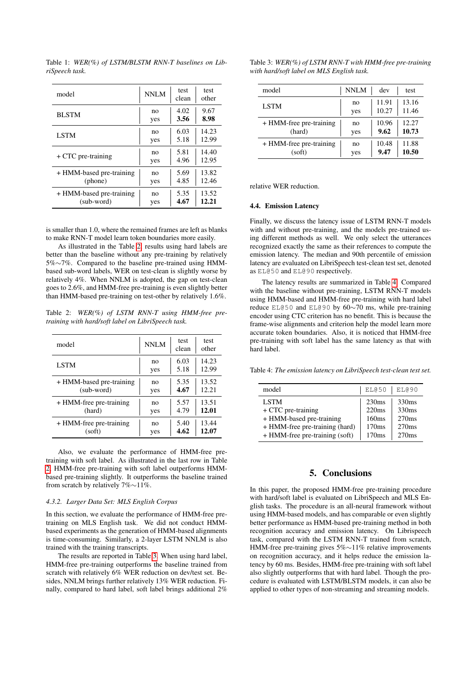| model                    | NNLM | test<br>clean | test<br>other |
|--------------------------|------|---------------|---------------|
| <b>BLSTM</b>             | no   | 4.02          | 9.67          |
|                          | yes  | 3.56          | 8.98          |
| <b>LSTM</b>              | no   | 6.03          | 14.23         |
|                          | yes  | 5.18          | 12.99         |
| $+$ CTC pre-training     | no   | 5.81          | 14.40         |
|                          | yes  | 4.96          | 12.95         |
| + HMM-based pre-training | no   | 5.69          | 13.82         |
| (phone)                  | yes  | 4.85          | 12.46         |
| + HMM-based pre-training | no   | 5.35          | 13.52         |
| (sub-word)               | yes  | 4.67          | 12.21         |

<span id="page-3-0"></span>Table 1: *WER(%) of LSTM/BLSTM RNN-T baselines on LibriSpeech task.*

is smaller than 1.0, where the remained frames are left as blanks to make RNN-T model learn token boundaries more easily.

As illustrated in the Table [2,](#page-3-1) results using hard labels are better than the baseline without any pre-training by relatively 5%∼7%. Compared to the baseline pre-trained using HMMbased sub-word labels, WER on test-clean is slightly worse by relatively 4%. When NNLM is adopted, the gap on test-clean goes to 2.6%, and HMM-free pre-training is even slightly better than HMM-based pre-training on test-other by relatively 1.6%.

<span id="page-3-1"></span>Table 2: *WER(%) of LSTM RNN-T using HMM-free pretraining with hard/soft label on LibriSpeech task.*

| model                    | NNLM | test<br>clean | test<br>other |
|--------------------------|------|---------------|---------------|
| <b>LSTM</b>              | no   | 6.03          | 14.23         |
|                          | yes  | 5.18          | 12.99         |
| + HMM-based pre-training | no   | 5.35          | 13.52         |
| (sub-word)               | yes  | 4.67          | 12.21         |
| + HMM-free pre-training  | no   | 5.57          | 13.51         |
| (hard)                   | yes  | 4.79          | 12.01         |
| + HMM-free pre-training  | no   | 5.40          | 13.44         |
| (soft)                   | yes  | 4.62          | 12.07         |

Also, we evaluate the performance of HMM-free pretraining with soft label. As illustrated in the last row in Table [2,](#page-3-1) HMM-free pre-training with soft label outperforms HMMbased pre-training slightly. It outperforms the baseline trained from scratch by relatively 7%∼11%.

### *4.3.2. Larger Data Set: MLS English Corpus*

In this section, we evaluate the performance of HMM-free pretraining on MLS English task. We did not conduct HMMbased experiments as the generation of HMM-based alignments is time-consuming. Similarly, a 2-layer LSTM NNLM is also trained with the training transcripts.

The results are reported in Table [3.](#page-3-2) When using hard label, HMM-free pre-training outperforms the baseline trained from scratch with relatively 6% WER reduction on dev/test set. Besides, NNLM brings further relatively 13% WER reduction. Finally, compared to hard label, soft label brings additional 2%

<span id="page-3-2"></span>

| Table 3: WER(%) of LSTM RNN-T with HMM-free pre-training |  |
|----------------------------------------------------------|--|
| with hard/soft label on MLS English task.                |  |

| model                   | <b>NNLM</b> | dev   | test  |
|-------------------------|-------------|-------|-------|
| <b>LSTM</b>             | no          | 11.91 | 13.16 |
|                         | yes         | 10.27 | 11.46 |
| + HMM-free pre-training | no          | 10.96 | 12.27 |
| (hard)                  | yes         | 9.62  | 10.73 |
| + HMM-free pre-training | no          | 10.48 | 11.88 |
| (soft)                  | yes         | 9.47  | 10.50 |

relative WER reduction.

# 4.4. Emission Latency

Finally, we discuss the latency issue of LSTM RNN-T models with and without pre-training, and the models pre-trained using different methods as well. We only select the utterances recognized exactly the same as their references to compute the emission latency. The median and 90th percentile of emission latency are evaluated on LibriSpeech test-clean test set, denoted as EL@50 and EL@90 respectively.

The latency results are summarized in Table [4.](#page-3-3) Compared with the baseline without pre-training, LSTM RNN-T models using HMM-based and HMM-free pre-training with hard label reduce EL@50 and EL@90 by 60∼70 ms, while pre-training encoder using CTC criterion has no benefit. This is because the frame-wise alignments and criterion help the model learn more accurate token boundaries. Also, it is noticed that HMM-free pre-training with soft label has the same latency as that with hard label.

<span id="page-3-3"></span>Table 4: *The emission latency on LibriSpeech test-clean test set.*

| model                          | EL@50 | EL@90 |
|--------------------------------|-------|-------|
| <b>LSTM</b>                    | 230ms | 330ms |
| $+$ CTC pre-training           | 220ms | 330ms |
| + HMM-based pre-training       | 160ms | 270ms |
| + HMM-free pre-training (hard) | 170ms | 270ms |
| + HMM-free pre-training (soft) | 170ms | 270ms |

# 5. Conclusions

In this paper, the proposed HMM-free pre-training procedure with hard/soft label is evaluated on LibriSpeech and MLS English tasks. The procedure is an all-neural framework without using HMM-based models, and has comparable or even slightly better performance as HMM-based pre-training method in both recognition accuracy and emission latency. On Librispeech task, compared with the LSTM RNN-T trained from scratch, HMM-free pre-training gives 5%∼11% relative improvements on recognition accuracy, and it helps reduce the emission latency by 60 ms. Besides, HMM-free pre-training with soft label also slightly outperforms that with hard label. Though the procedure is evaluated with LSTM/BLSTM models, it can also be applied to other types of non-streaming and streaming models.